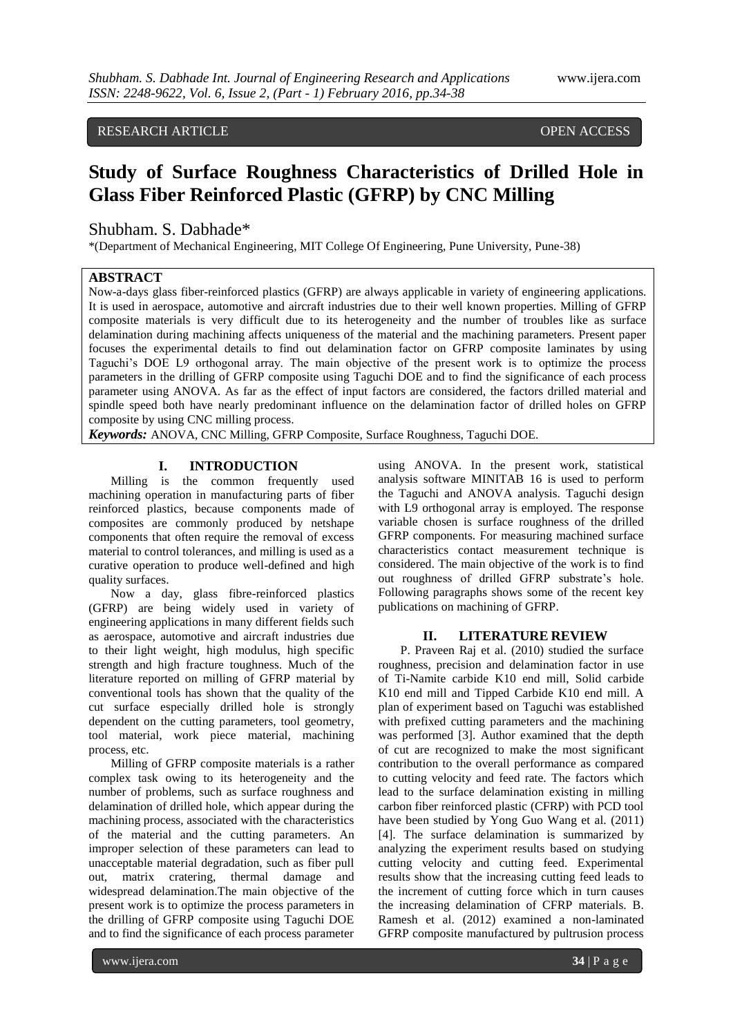# RESEARCH ARTICLE **CONTRACT ARTICLE** AND A SERVICE OPEN ACCESS

# **Study of Surface Roughness Characteristics of Drilled Hole in Glass Fiber Reinforced Plastic (GFRP) by CNC Milling**

# Shubham. S. Dabhade\*

\*(Department of Mechanical Engineering, MIT College Of Engineering, Pune University, Pune-38)

## **ABSTRACT**

Now-a-days glass fiber-reinforced plastics (GFRP) are always applicable in variety of engineering applications. It is used in aerospace, automotive and aircraft industries due to their well known properties. Milling of GFRP composite materials is very difficult due to its heterogeneity and the number of troubles like as surface delamination during machining affects uniqueness of the material and the machining parameters. Present paper focuses the experimental details to find out delamination factor on GFRP composite laminates by using Taguchi"s DOE L9 orthogonal array. The main objective of the present work is to optimize the process parameters in the drilling of GFRP composite using Taguchi DOE and to find the significance of each process parameter using ANOVA. As far as the effect of input factors are considered, the factors drilled material and spindle speed both have nearly predominant influence on the delamination factor of drilled holes on GFRP composite by using CNC milling process.

*Keywords:* ANOVA, CNC Milling, GFRP Composite, Surface Roughness, Taguchi DOE.

## **I. INTRODUCTION**

Milling is the common frequently used machining operation in manufacturing parts of fiber reinforced plastics, because components made of composites are commonly produced by netshape components that often require the removal of excess material to control tolerances, and milling is used as a curative operation to produce well-defined and high quality surfaces.

Now a day, glass fibre-reinforced plastics (GFRP) are being widely used in variety of engineering applications in many different fields such as aerospace, automotive and aircraft industries due to their light weight, high modulus, high specific strength and high fracture toughness. Much of the literature reported on milling of GFRP material by conventional tools has shown that the quality of the cut surface especially drilled hole is strongly dependent on the cutting parameters, tool geometry, tool material, work piece material, machining process, etc.

Milling of GFRP composite materials is a rather complex task owing to its heterogeneity and the number of problems, such as surface roughness and delamination of drilled hole, which appear during the machining process, associated with the characteristics of the material and the cutting parameters. An improper selection of these parameters can lead to unacceptable material degradation, such as fiber pull out, matrix cratering, thermal damage and widespread delamination.The main objective of the present work is to optimize the process parameters in the drilling of GFRP composite using Taguchi DOE and to find the significance of each process parameter

using ANOVA. In the present work, statistical analysis software MINITAB 16 is used to perform the Taguchi and ANOVA analysis. Taguchi design with L9 orthogonal array is employed. The response variable chosen is surface roughness of the drilled GFRP components. For measuring machined surface characteristics contact measurement technique is considered. The main objective of the work is to find out roughness of drilled GFRP substrate's hole. Following paragraphs shows some of the recent key publications on machining of GFRP.

## **II. LITERATURE REVIEW**

P. Praveen Raj et al. (2010) studied the surface roughness, precision and delamination factor in use of Ti-Namite carbide K10 end mill, Solid carbide K10 end mill and Tipped Carbide K10 end mill. A plan of experiment based on Taguchi was established with prefixed cutting parameters and the machining was performed [3]. Author examined that the depth of cut are recognized to make the most significant contribution to the overall performance as compared to cutting velocity and feed rate. The factors which lead to the surface delamination existing in milling carbon fiber reinforced plastic (CFRP) with PCD tool have been studied by Yong Guo Wang et al. (2011) [4]. The surface delamination is summarized by analyzing the experiment results based on studying cutting velocity and cutting feed. Experimental results show that the increasing cutting feed leads to the increment of cutting force which in turn causes the increasing delamination of CFRP materials. B. Ramesh et al. (2012) examined a non-laminated GFRP composite manufactured by pultrusion process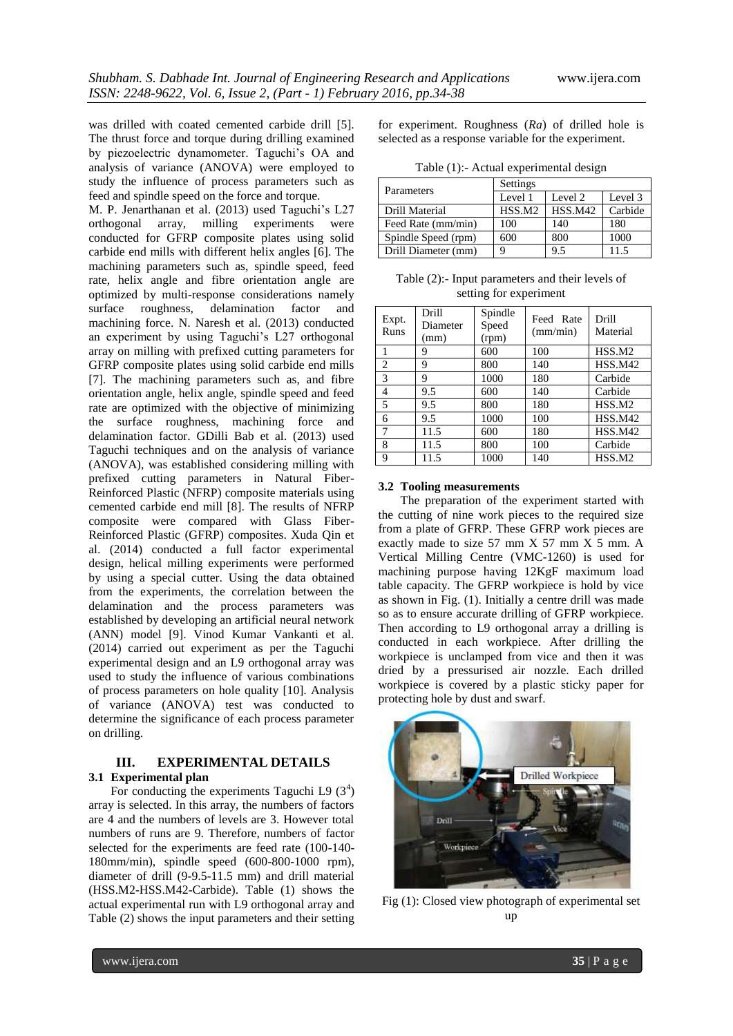was drilled with coated cemented carbide drill [5]. The thrust force and torque during drilling examined by piezoelectric dynamometer. Taguchi's OA and analysis of variance (ANOVA) were employed to study the influence of process parameters such as feed and spindle speed on the force and torque.

M. P. Jenarthanan et al. (2013) used Taguchi's L27 orthogonal array, milling experiments were conducted for GFRP composite plates using solid carbide end mills with different helix angles [6]. The machining parameters such as, spindle speed, feed rate, helix angle and fibre orientation angle are optimized by multi-response considerations namely surface roughness, delamination factor and machining force. N. Naresh et al. (2013) conducted an experiment by using Taguchi's L27 orthogonal array on milling with prefixed cutting parameters for GFRP composite plates using solid carbide end mills [7]. The machining parameters such as, and fibre orientation angle, helix angle, spindle speed and feed rate are optimized with the objective of minimizing the surface roughness, machining force and delamination factor. GDilli Bab et al. (2013) used Taguchi techniques and on the analysis of variance (ANOVA), was established considering milling with prefixed cutting parameters in Natural Fiber-Reinforced Plastic (NFRP) composite materials using cemented carbide end mill [8]. The results of NFRP composite were compared with Glass Fiber-Reinforced Plastic (GFRP) composites. Xuda Qin et al. (2014) conducted a full factor experimental design, helical milling experiments were performed by using a special cutter. Using the data obtained from the experiments, the correlation between the delamination and the process parameters was established by developing an artificial neural network (ANN) model [9]. Vinod Kumar Vankanti et al. (2014) carried out experiment as per the Taguchi experimental design and an L9 orthogonal array was used to study the influence of various combinations of process parameters on hole quality [10]. Analysis of variance (ANOVA) test was conducted to determine the significance of each process parameter on drilling.

## **III. EXPERIMENTAL DETAILS 3.1 Experimental plan**

For conducting the experiments Taguchi L9  $(3^4)$ array is selected. In this array, the numbers of factors are 4 and the numbers of levels are 3. However total numbers of runs are 9. Therefore, numbers of factor selected for the experiments are feed rate (100-140- 180mm/min), spindle speed (600-800-1000 rpm), diameter of drill (9-9.5-11.5 mm) and drill material (HSS.M2-HSS.M42-Carbide). Table (1) shows the actual experimental run with L9 orthogonal array and Table (2) shows the input parameters and their setting for experiment. Roughness (*Ra*) of drilled hole is selected as a response variable for the experiment.

Table (1):- Actual experimental design

| Parameters          | Settings           |                |         |  |  |  |
|---------------------|--------------------|----------------|---------|--|--|--|
|                     | Level 1            | Level 2        | Level 3 |  |  |  |
| Drill Material      | HSS.M <sub>2</sub> | <b>HSS.M42</b> | Carbide |  |  |  |
| Feed Rate (mm/min)  | 100                | 140            | 180     |  |  |  |
| Spindle Speed (rpm) | 600                | 800            | 1000    |  |  |  |
| Drill Diameter (mm) |                    | 9.5            | 115     |  |  |  |

Table (2):- Input parameters and their levels of setting for experiment

| Expt.<br>Runs  | Drill<br>Diameter<br>(mm) | Spindle<br>Speed<br>(rpm) | Feed Rate<br>(mm/min) | Drill<br>Material  |
|----------------|---------------------------|---------------------------|-----------------------|--------------------|
| 1              | 9                         | 600                       | 100                   | HSS.M <sub>2</sub> |
| $\overline{2}$ | 9                         | 800                       | 140                   | <b>HSS.M42</b>     |
| 3              | 9                         | 1000                      | 180                   | Carbide            |
| $\overline{4}$ | 9.5                       | 600                       | 140                   | Carbide            |
| 5              | 9.5                       | 800                       | 180                   | HSS.M2             |
| 6              | 9.5                       | 1000                      | 100                   | HSS.M42            |
| 7              | 11.5                      | 600                       | 180                   | HSS.M42            |
| 8              | 11.5                      | 800                       | 100                   | Carbide            |
| 9              | 11.5                      | 1000                      | 140                   | HSS.M <sub>2</sub> |

## **3.2 Tooling measurements**

The preparation of the experiment started with the cutting of nine work pieces to the required size from a plate of GFRP. These GFRP work pieces are exactly made to size 57 mm X 57 mm X 5 mm. A Vertical Milling Centre (VMC-1260) is used for machining purpose having 12KgF maximum load table capacity. The GFRP workpiece is hold by vice as shown in Fig. (1). Initially a centre drill was made so as to ensure accurate drilling of GFRP workpiece. Then according to L9 orthogonal array a drilling is conducted in each workpiece. After drilling the workpiece is unclamped from vice and then it was dried by a pressurised air nozzle. Each drilled workpiece is covered by a plastic sticky paper for protecting hole by dust and swarf.



Fig (1): Closed view photograph of experimental set up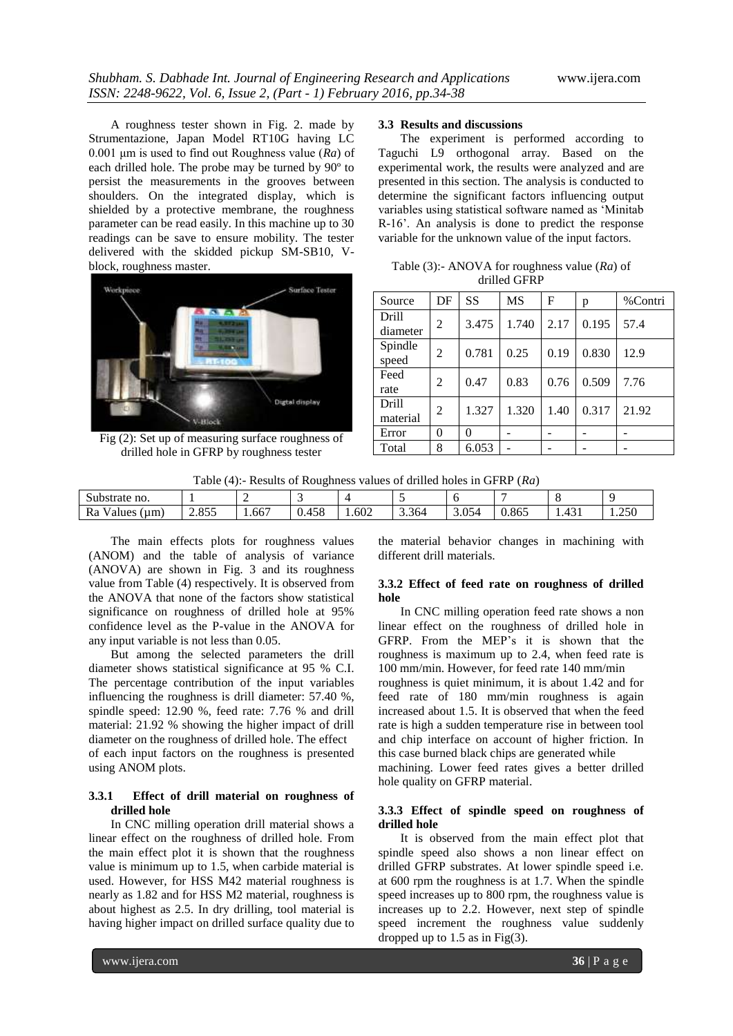A roughness tester shown in Fig. 2. made by Strumentazione, Japan Model RT10G having LC 0.001 μm is used to find out Roughness value (*Ra*) of each drilled hole. The probe may be turned by 90º to persist the measurements in the grooves between shoulders. On the integrated display, which is shielded by a protective membrane, the roughness parameter can be read easily. In this machine up to 30 readings can be save to ensure mobility. The tester delivered with the skidded pickup SM-SB10, Vblock, roughness master.



Fig (2): Set up of measuring surface roughness of drilled hole in GFRP by roughness tester

#### **3.3 Results and discussions**

The experiment is performed according to Taguchi L9 orthogonal array. Based on the experimental work, the results were analyzed and are presented in this section. The analysis is conducted to determine the significant factors influencing output variables using statistical software named as "Minitab R-16". An analysis is done to predict the response variable for the unknown value of the input factors.

Table (3):- ANOVA for roughness value (*Ra*) of drilled GFRP

| Source                   | DF | SS    | <b>MS</b> | F    | p     | %Contri |  |
|--------------------------|----|-------|-----------|------|-------|---------|--|
| <b>Drill</b><br>diameter | 2  | 3.475 | 1.740     | 2.17 | 0.195 | 57.4    |  |
| Spindle<br>speed         | 2  | 0.781 | 0.25      | 0.19 | 0.830 | 12.9    |  |
| Feed<br>rate             | 2  | 0.47  | 0.83      | 0.76 | 0.509 | 7.76    |  |
| <b>Drill</b><br>material | 2  | 1.327 | 1.320     | 1.40 | 0.317 | 21.92   |  |
| Error                    | 0  | 0     |           |      |       |         |  |
| Total                    | 8  | 6.053 |           |      |       |         |  |

Table (4):- Results of Roughness values of drilled holes in GFRP (*Ra*)

| Substrate no.         |              |                                   |                             |       |       |             |       |               |                             |
|-----------------------|--------------|-----------------------------------|-----------------------------|-------|-------|-------------|-------|---------------|-----------------------------|
| Ra<br>(um)<br>alues / | 055<br>2.0JJ | $\overline{\phantom{a}}$<br>1.00/ | $1 \subset \Omega$<br>U.490 | 1.602 | 3.364 | 054<br>J.VJ | 0.865 | $\sim$<br>ுபட | $\sim$ $\sim$ $\sim$<br>250 |

The main effects plots for roughness values (ANOM) and the table of analysis of variance (ANOVA) are shown in Fig. 3 and its roughness value from Table (4) respectively. It is observed from the ANOVA that none of the factors show statistical significance on roughness of drilled hole at 95% confidence level as the P-value in the ANOVA for any input variable is not less than 0.05.

But among the selected parameters the drill diameter shows statistical significance at 95 % C.I. The percentage contribution of the input variables influencing the roughness is drill diameter: 57.40 %, spindle speed: 12.90 %, feed rate: 7.76 % and drill material: 21.92 % showing the higher impact of drill diameter on the roughness of drilled hole. The effect of each input factors on the roughness is presented using ANOM plots.

## **3.3.1 Effect of drill material on roughness of drilled hole**

In CNC milling operation drill material shows a linear effect on the roughness of drilled hole. From the main effect plot it is shown that the roughness value is minimum up to 1.5, when carbide material is used. However, for HSS M42 material roughness is nearly as 1.82 and for HSS M2 material, roughness is about highest as 2.5. In dry drilling, tool material is having higher impact on drilled surface quality due to the material behavior changes in machining with different drill materials.

## **3.3.2 Effect of feed rate on roughness of drilled hole**

In CNC milling operation feed rate shows a non linear effect on the roughness of drilled hole in GFRP. From the MEP"s it is shown that the roughness is maximum up to 2.4, when feed rate is 100 mm/min. However, for feed rate 140 mm/min roughness is quiet minimum, it is about 1.42 and for feed rate of 180 mm/min roughness is again increased about 1.5. It is observed that when the feed rate is high a sudden temperature rise in between tool and chip interface on account of higher friction. In this case burned black chips are generated while machining. Lower feed rates gives a better drilled hole quality on GFRP material.

## **3.3.3 Effect of spindle speed on roughness of drilled hole**

It is observed from the main effect plot that spindle speed also shows a non linear effect on drilled GFRP substrates. At lower spindle speed i.e. at 600 rpm the roughness is at 1.7. When the spindle speed increases up to 800 rpm, the roughness value is increases up to 2.2. However, next step of spindle speed increment the roughness value suddenly dropped up to  $1.5$  as in Fig $(3)$ .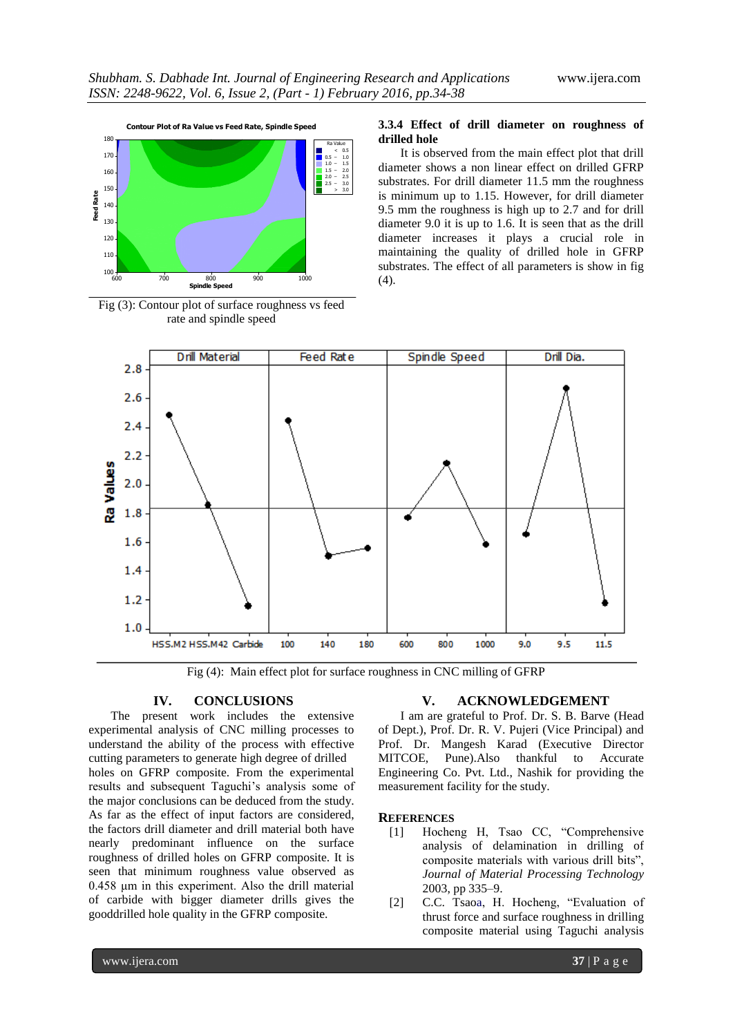

Fig (3): Contour plot of surface roughness vs feed rate and spindle speed

#### **3.3.4 Effect of drill diameter on roughness of drilled hole**

It is observed from the main effect plot that drill diameter shows a non linear effect on drilled GFRP substrates. For drill diameter 11.5 mm the roughness is minimum up to 1.15. However, for drill diameter 9.5 mm the roughness is high up to 2.7 and for drill diameter 9.0 it is up to 1.6. It is seen that as the drill diameter increases it plays a crucial role in maintaining the quality of drilled hole in GFRP substrates. The effect of all parameters is show in fig  $(4).$ 



Fig (4): Main effect plot for surface roughness in CNC milling of GFRP

## **IV. CONCLUSIONS**

The present work includes the extensive experimental analysis of CNC milling processes to understand the ability of the process with effective cutting parameters to generate high degree of drilled holes on GFRP composite. From the experimental results and subsequent Taguchi"s analysis some of the major conclusions can be deduced from the study. As far as the effect of input factors are considered, the factors drill diameter and drill material both have nearly predominant influence on the surface roughness of drilled holes on GFRP composite. It is seen that minimum roughness value observed as 0.458 μm in this experiment. Also the drill material of carbide with bigger diameter drills gives the gooddrilled hole quality in the GFRP composite.

## **V. ACKNOWLEDGEMENT**

I am are grateful to Prof. Dr. S. B. Barve (Head of Dept.), Prof. Dr. R. V. Pujeri (Vice Principal) and Prof. Dr. Mangesh Karad (Executive Director MITCOE, Pune).Also thankful to Accurate Engineering Co. Pvt. Ltd., Nashik for providing the measurement facility for the study.

#### **REFERENCES**

- [1] Hocheng H, Tsao CC, "Comprehensive analysis of delamination in drilling of composite materials with various drill bits", *Journal of Material Processing Technology*  2003, pp 335–9.
- [2] C.C. Tsaoa, H. Hocheng, "Evaluation of thrust force and surface roughness in drilling composite material using Taguchi analysis